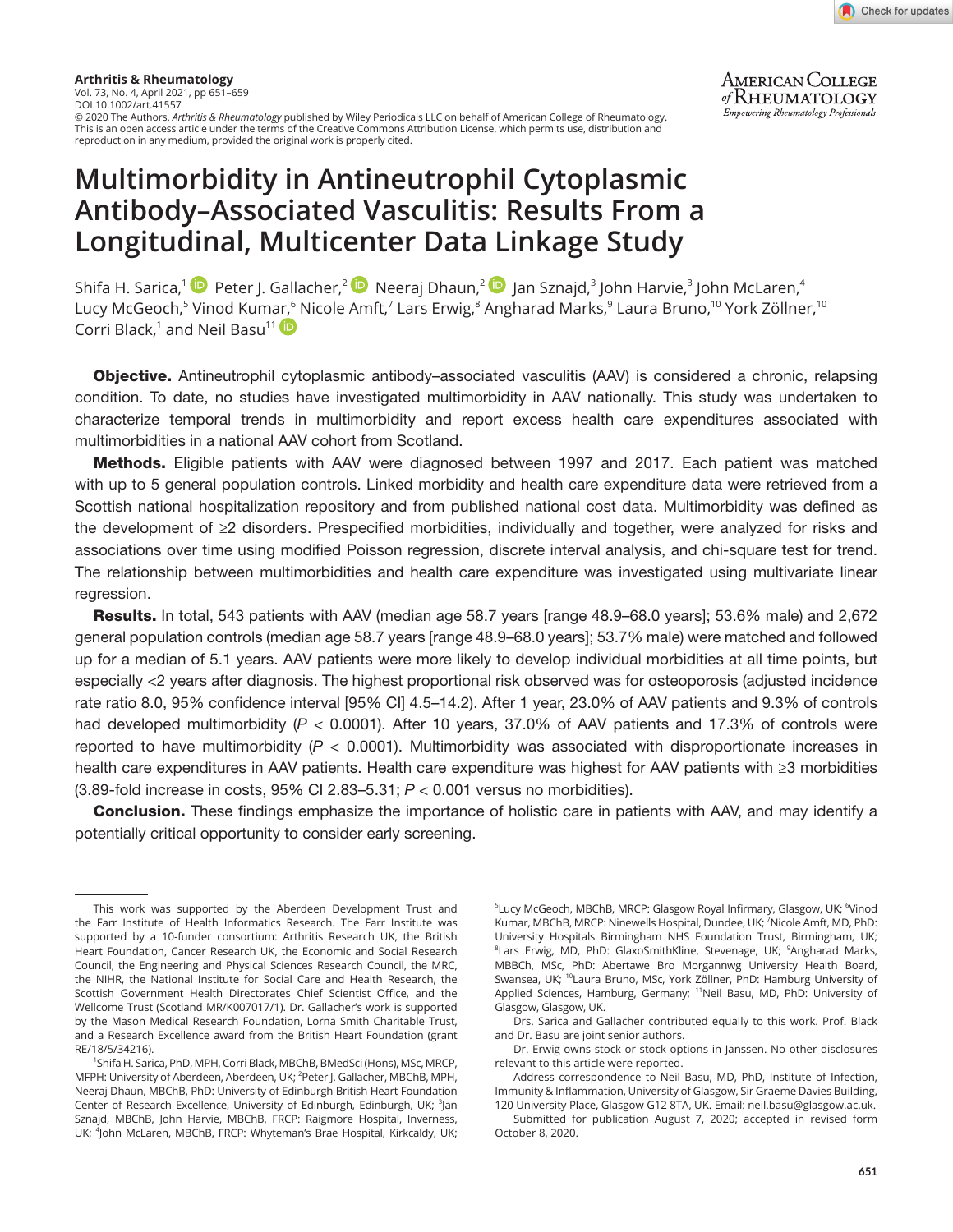

**AMERICAN COLLEGE** of RHEUMATOLOGY Empowering Rheumatology Professionals

**Arthritis & Rheumatology** Vol. 73, No. 4, April 2021, pp 651–659 DOI 10.1002/art.41557 © 2020 The Authors. *Arthritis & Rheumatology* published by Wiley Periodicals LLC on behalf of American College of Rheumatology. This is an open access article under the terms of the [Creative Commons Attribution](http://creativecommons.org/licenses/by/4.0/) License, which permits use, distribution and reproduction in any medium, provided the original work is properly cited.

# **Multimorbidity in Antineutrophil Cytoplasmic Antibody–Associated Vasculitis: Results From a Longitudinal, Multicenter Data Linkage Study**

Shifa H. Sarica,<sup>[1](https://orcid.org/0000-0003-2574-6426)(</sup>••• Peter J. Gallacher,<sup>2 (</sup>•• Neeraj Dhaun,<sup>2 (</sup>•• Jan Sznajd,<sup>3</sup> John Harvie,<sup>3</sup> John McLaren,<sup>4</sup> Lucy McGeoch,<sup>5</sup> Vinod Kum[ar,](https://orcid.org/0000-0003-4246-3145)<sup>6</sup> Nicole Amft,<sup>7</sup> Lars Erwig,<sup>8</sup> Angharad Marks,<sup>9</sup> Laura Bruno,<sup>10</sup> York Zöllner,<sup>10</sup> Corri Black,<sup>1</sup> and Neil Basu<sup>11</sup>

Objective. Antineutrophil cytoplasmic antibody–associated vasculitis (AAV) is considered a chronic, relapsing condition. To date, no studies have investigated multimorbidity in AAV nationally. This study was undertaken to characterize temporal trends in multimorbidity and report excess health care expenditures associated with multimorbidities in a national AAV cohort from Scotland.

Methods. Eligible patients with AAV were diagnosed between 1997 and 2017. Each patient was matched with up to 5 general population controls. Linked morbidity and health care expenditure data were retrieved from a Scottish national hospitalization repository and from published national cost data. Multimorbidity was defined as the development of ≥2 disorders. Prespecified morbidities, individually and together, were analyzed for risks and associations over time using modified Poisson regression, discrete interval analysis, and chi-square test for trend. The relationship between multimorbidities and health care expenditure was investigated using multivariate linear regression.

Results. In total, 543 patients with AAV (median age 58.7 years [range 48.9–68.0 years]; 53.6% male) and 2,672 general population controls (median age 58.7 years [range 48.9–68.0 years]; 53.7% male) were matched and followed up for a median of 5.1 years. AAV patients were more likely to develop individual morbidities at all time points, but especially <2 years after diagnosis. The highest proportional risk observed was for osteoporosis (adjusted incidence rate ratio 8.0, 95% confidence interval [95% CI] 4.5–14.2). After 1 year, 23.0% of AAV patients and 9.3% of controls had developed multimorbidity (*P* < 0.0001). After 10 years, 37.0% of AAV patients and 17.3% of controls were reported to have multimorbidity (*P* < 0.0001). Multimorbidity was associated with disproportionate increases in health care expenditures in AAV patients. Health care expenditure was highest for AAV patients with ≥3 morbidities (3.89-fold increase in costs, 95% CI 2.83–5.31; *P* < 0.001 versus no morbidities).

Conclusion. These findings emphasize the importance of holistic care in patients with AAV, and may identify a potentially critical opportunity to consider early screening.

<sup>5</sup>Lucy McGeoch, MBChB, MRCP: Glasgow Royal Infirmary, Glasgow, UK; <sup>6</sup>Vinod Kumar, MBChB, MRCP: Ninewells Hospital, Dundee, UK; <sup>7</sup>Nicole Amft, MD, PhD: University Hospitals Birmingham NHS Foundation Trust, Birmingham, UK; <sup>8</sup>Lars Erwig, MD, PhD: GlaxoSmithKline, Stevenage, UK; <sup>9</sup>Angharad Marks, MBBCh, MSc, PhD: Abertawe Bro Morgannwg University Health Board, Swansea, UK; <sup>10</sup>Laura Bruno, MSc, York Zöllner, PhD: Hamburg University of Applied Sciences, Hamburg, Germany; <sup>11</sup>Neil Basu, MD, PhD: University of Glasgow, Glasgow, UK.

Drs. Sarica and Gallacher contributed equally to this work. Prof. Black and Dr. Basu are joint senior authors.

Dr. Erwig owns stock or stock options in Janssen. No other disclosures relevant to this article were reported.

Address correspondence to Neil Basu, MD, PhD, Institute of Infection, Immunity & Inflammation, University of Glasgow, Sir Graeme Davies Building, 120 University Place, Glasgow G12 8TA, UK. Email: [neil.basu@glasgow.ac.uk](mailto:neil.basu@glasgow.ac.uk).

Submitted for publication August 7, 2020; accepted in revised form October 8, 2020.

This work was supported by the Aberdeen Development Trust and the Farr Institute of Health Informatics Research. The Farr Institute was supported by a 10-funder consortium: Arthritis Research UK, the British Heart Foundation, Cancer Research UK, the Economic and Social Research Council, the Engineering and Physical Sciences Research Council, the MRC, the NIHR, the National Institute for Social Care and Health Research, the Scottish Government Health Directorates Chief Scientist Office, and the Wellcome Trust (Scotland MR/K007017/1). Dr. Gallacher's work is supported by the Mason Medical Research Foundation, Lorna Smith Charitable Trust, and a Research Excellence award from the British Heart Foundation (grant RE/18/5/34216).

<sup>1</sup> Shifa H. Sarica, PhD, MPH, Corri Black, MBChB, BMedSci (Hons), MSc, MRCP, MFPH: University of Aberdeen, Aberdeen, UK; <sup>2</sup>Peter J. Gallacher, MBChB, MPH, Neeraj Dhaun, MBChB, PhD: University of Edinburgh British Heart Foundation Center of Research Excellence, University of Edinburgh, Edinburgh, UK; <sup>3</sup>Jan Sznajd, MBChB, John Harvie, MBChB, FRCP: Raigmore Hospital, Inverness, UK; <sup>4</sup>John McLaren, MBChB, FRCP: Whyteman's Brae Hospital, Kirkcaldy, UK;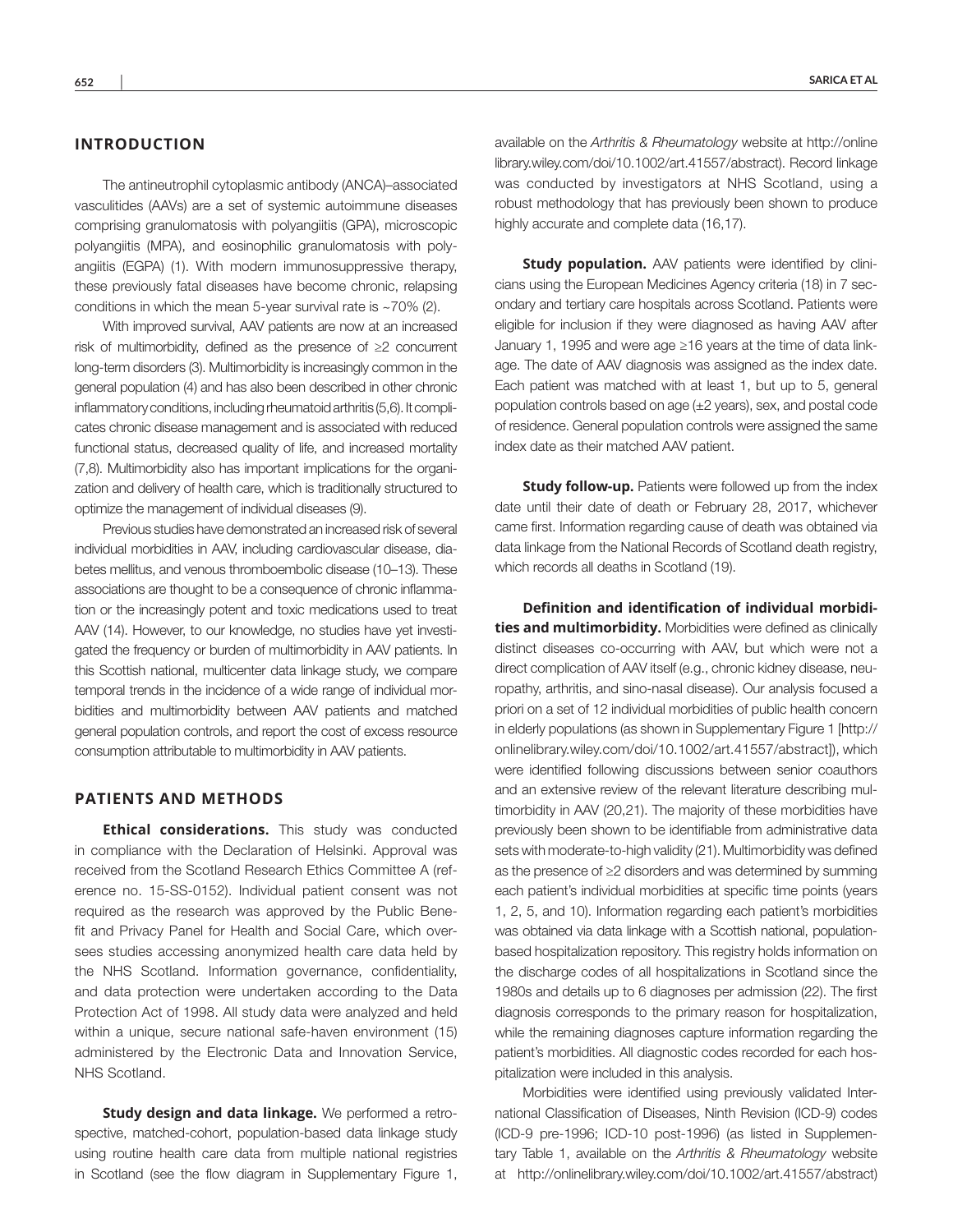# **INTRODUCTION**

The antineutrophil cytoplasmic antibody (ANCA)–associated vasculitides (AAVs) are a set of systemic autoimmune diseases comprising granulomatosis with polyangiitis (GPA), microscopic polyangiitis (MPA), and eosinophilic granulomatosis with polyangiitis (EGPA) (1). With modern immunosuppressive therapy, these previously fatal diseases have become chronic, relapsing conditions in which the mean 5-year survival rate is ~70% (2).

With improved survival, AAV patients are now at an increased risk of multimorbidity, defined as the presence of ≥2 concurrent long-term disorders (3). Multimorbidity is increasingly common in the general population (4) and has also been described in other chronic inflammatory conditions, including rheumatoid arthritis (5,6). It complicates chronic disease management and is associated with reduced functional status, decreased quality of life, and increased mortality (7,8). Multimorbidity also has important implications for the organization and delivery of health care, which is traditionally structured to optimize the management of individual diseases (9).

Previous studies have demonstrated an increased risk of several individual morbidities in AAV, including cardiovascular disease, diabetes mellitus, and venous thromboembolic disease (10–13). These associations are thought to be a consequence of chronic inflammation or the increasingly potent and toxic medications used to treat AAV (14). However, to our knowledge, no studies have yet investigated the frequency or burden of multimorbidity in AAV patients. In this Scottish national, multicenter data linkage study, we compare temporal trends in the incidence of a wide range of individual morbidities and multimorbidity between AAV patients and matched general population controls, and report the cost of excess resource consumption attributable to multimorbidity in AAV patients.

## **PATIENTS AND METHODS**

**Ethical considerations.** This study was conducted in compliance with the Declaration of Helsinki. Approval was received from the Scotland Research Ethics Committee A (reference no. 15-SS-0152). Individual patient consent was not required as the research was approved by the Public Benefit and Privacy Panel for Health and Social Care, which oversees studies accessing anonymized health care data held by the NHS Scotland. Information governance, confidentiality, and data protection were undertaken according to the Data Protection Act of 1998. All study data were analyzed and held within a unique, secure national safe-haven environment (15) administered by the Electronic Data and Innovation Service, NHS Scotland.

**Study design and data linkage.** We performed a retrospective, matched-cohort, population-based data linkage study using routine health care data from multiple national registries in Scotland (see the flow diagram in Supplementary Figure 1,

available on the *Arthritis & Rheumatology* website at [http://online](http://onlinelibrary.wiley.com/doi/10.1002/art.41557/abstract) [library.wiley.com/doi/10.1002/art.41557/abstract](http://onlinelibrary.wiley.com/doi/10.1002/art.41557/abstract)). Record linkage was conducted by investigators at NHS Scotland, using a robust methodology that has previously been shown to produce highly accurate and complete data (16,17).

**Study population.** AAV patients were identified by clinicians using the European Medicines Agency criteria (18) in 7 secondary and tertiary care hospitals across Scotland. Patients were eligible for inclusion if they were diagnosed as having AAV after January 1, 1995 and were age ≥16 years at the time of data linkage. The date of AAV diagnosis was assigned as the index date. Each patient was matched with at least 1, but up to 5, general population controls based on age (±2 years), sex, and postal code of residence. General population controls were assigned the same index date as their matched AAV patient.

**Study follow-up.** Patients were followed up from the index date until their date of death or February 28, 2017, whichever came first. Information regarding cause of death was obtained via data linkage from the National Records of Scotland death registry, which records all deaths in Scotland (19).

**Definition and identification of individual morbidities and multimorbidity.** Morbidities were defined as clinically distinct diseases co-occurring with AAV, but which were not a direct complication of AAV itself (e.g., chronic kidney disease, neuropathy, arthritis, and sino-nasal disease). Our analysis focused a priori on a set of 12 individual morbidities of public health concern in elderly populations (as shown in Supplementary Figure 1 [[http://](http://onlinelibrary.wiley.com/doi/10.1002/art.41557/abstract) [onlinelibrary.wiley.com/doi/10.1002/art.41557/abstract\]](http://onlinelibrary.wiley.com/doi/10.1002/art.41557/abstract)), which were identified following discussions between senior coauthors and an extensive review of the relevant literature describing multimorbidity in AAV (20,21). The majority of these morbidities have previously been shown to be identifiable from administrative data sets with moderate-to-high validity (21). Multimorbidity was defined as the presence of ≥2 disorders and was determined by summing each patient's individual morbidities at specific time points (years 1, 2, 5, and 10). Information regarding each patient's morbidities was obtained via data linkage with a Scottish national, populationbased hospitalization repository. This registry holds information on the discharge codes of all hospitalizations in Scotland since the 1980s and details up to 6 diagnoses per admission (22). The first diagnosis corresponds to the primary reason for hospitalization, while the remaining diagnoses capture information regarding the patient's morbidities. All diagnostic codes recorded for each hospitalization were included in this analysis.

Morbidities were identified using previously validated International Classification of Diseases, Ninth Revision (ICD-9) codes (ICD-9 pre-1996; ICD-10 post-1996) (as listed in Supplementary Table 1, available on the *Arthritis & Rheumatology* website at [http://onlinelibrary.wiley.com/doi/10.1002/art.41557/abstract\)](http://onlinelibrary.wiley.com/doi/10.1002/art.41557/abstract)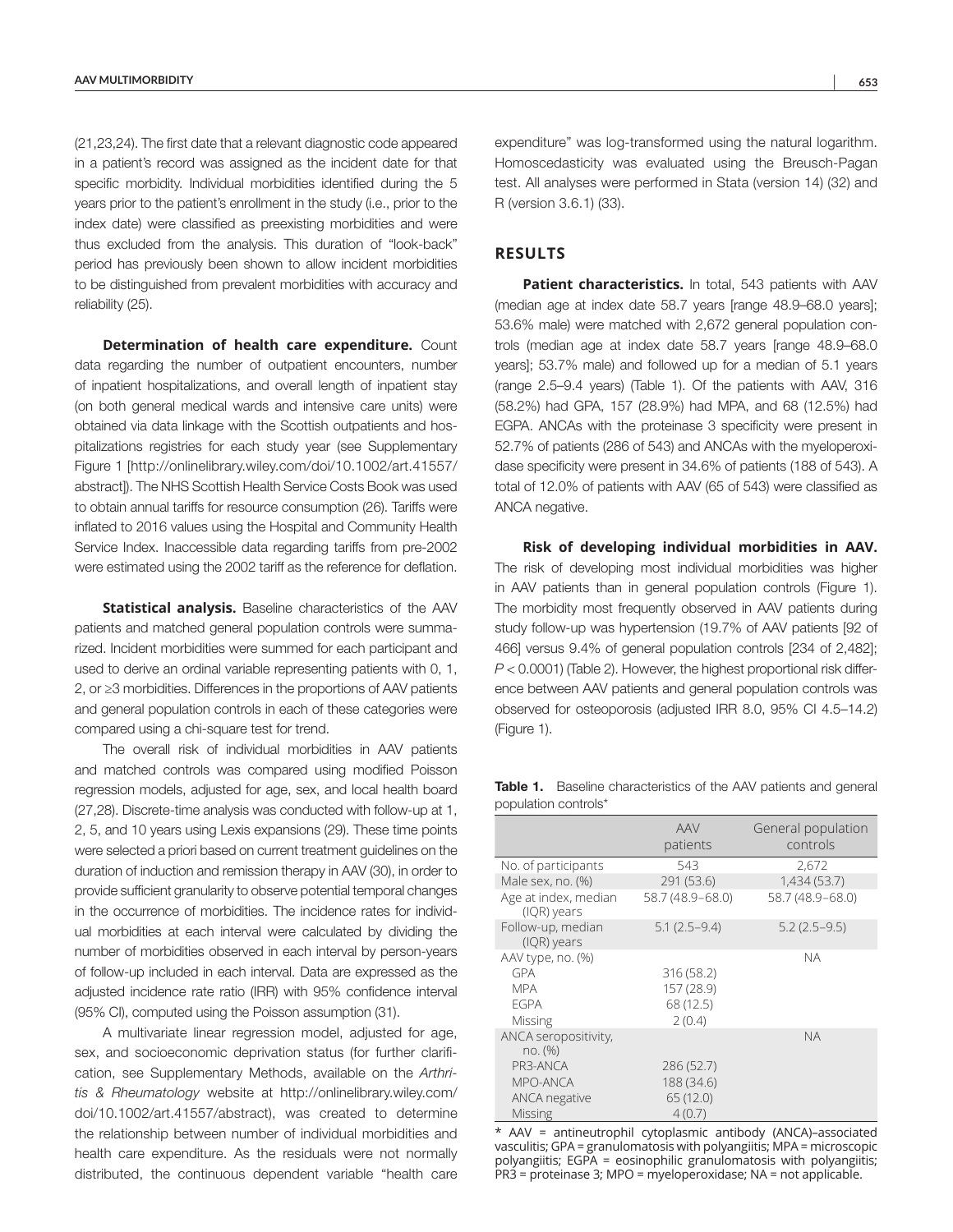(21,23,24). The first date that a relevant diagnostic code appeared in a patient's record was assigned as the incident date for that specific morbidity. Individual morbidities identified during the 5 years prior to the patient's enrollment in the study (i.e., prior to the index date) were classified as preexisting morbidities and were thus excluded from the analysis. This duration of "look-back" period has previously been shown to allow incident morbidities to be distinguished from prevalent morbidities with accuracy and reliability (25).

**Determination of health care expenditure.** Count data regarding the number of outpatient encounters, number of inpatient hospitalizations, and overall length of inpatient stay (on both general medical wards and intensive care units) were obtained via data linkage with the Scottish outpatients and hospitalizations registries for each study year (see Supplementary Figure 1 [[http://onlinelibrary.wiley.com/doi/10.1002/art.41557/](http://onlinelibrary.wiley.com/doi/10.1002/art.41557/abstract) [abstract\]](http://onlinelibrary.wiley.com/doi/10.1002/art.41557/abstract)). The NHS Scottish Health Service Costs Book was used to obtain annual tariffs for resource consumption (26). Tariffs were inflated to 2016 values using the Hospital and Community Health Service Index. Inaccessible data regarding tariffs from pre-2002 were estimated using the 2002 tariff as the reference for deflation.

**Statistical analysis.** Baseline characteristics of the AAV patients and matched general population controls were summarized. Incident morbidities were summed for each participant and used to derive an ordinal variable representing patients with 0, 1, 2, or ≥3 morbidities. Differences in the proportions of AAV patients and general population controls in each of these categories were compared using a chi-square test for trend.

The overall risk of individual morbidities in AAV patients and matched controls was compared using modified Poisson regression models, adjusted for age, sex, and local health board (27,28). Discrete-time analysis was conducted with follow-up at 1, 2, 5, and 10 years using Lexis expansions (29). These time points were selected a priori based on current treatment guidelines on the duration of induction and remission therapy in AAV (30), in order to provide sufficient granularity to observe potential temporal changes in the occurrence of morbidities. The incidence rates for individual morbidities at each interval were calculated by dividing the number of morbidities observed in each interval by person-years of follow-up included in each interval. Data are expressed as the adjusted incidence rate ratio (IRR) with 95% confidence interval (95% CI), computed using the Poisson assumption (31).

A multivariate linear regression model, adjusted for age, sex, and socioeconomic deprivation status (for further clarification, see Supplementary Methods, available on the *Arthritis & Rheumatology* website at [http://onlinelibrary.wiley.com/](http://onlinelibrary.wiley.com/doi/10.1002/art.41557/abstract) [doi/10.1002/art.41557/abstract\)](http://onlinelibrary.wiley.com/doi/10.1002/art.41557/abstract), was created to determine the relationship between number of individual morbidities and health care expenditure. As the residuals were not normally distributed, the continuous dependent variable "health care

expenditure" was log-transformed using the natural logarithm. Homoscedasticity was evaluated using the Breusch-Pagan test. All analyses were performed in Stata (version 14) (32) and R (version 3.6.1) (33).

# **RESULTS**

Patient characteristics. In total, 543 patients with AAV (median age at index date 58.7 years [range 48.9–68.0 years]; 53.6% male) were matched with 2,672 general population controls (median age at index date 58.7 years [range 48.9–68.0 years]; 53.7% male) and followed up for a median of 5.1 years (range 2.5–9.4 years) (Table 1). Of the patients with AAV, 316 (58.2%) had GPA, 157 (28.9%) had MPA, and 68 (12.5%) had EGPA. ANCAs with the proteinase 3 specificity were present in 52.7% of patients (286 of 543) and ANCAs with the myeloperoxidase specificity were present in 34.6% of patients (188 of 543). A total of 12.0% of patients with AAV (65 of 543) were classified as ANCA negative.

**Risk of developing individual morbidities in AAV.** The risk of developing most individual morbidities was higher in AAV patients than in general population controls (Figure 1). The morbidity most frequently observed in AAV patients during study follow-up was hypertension (19.7% of AAV patients [92 of 466] versus 9.4% of general population controls [234 of 2,482]; *P* < 0.0001) (Table 2). However, the highest proportional risk difference between AAV patients and general population controls was observed for osteoporosis (adjusted IRR 8.0, 95% CI 4.5–14.2) (Figure 1).

Table 1. Baseline characteristics of the AAV patients and general population controls\*

|                                     | <b>AAV</b><br>patients | General population<br>controls |  |
|-------------------------------------|------------------------|--------------------------------|--|
| No. of participants                 | 543                    | 2,672                          |  |
| Male sex, no. (%)                   | 291 (53.6)             | 1,434 (53.7)                   |  |
| Age at index, median<br>(IQR) years | 58.7 (48.9-68.0)       | 58.7 (48.9-68.0)               |  |
| Follow-up, median<br>(IQR) years    | $5.1(2.5-9.4)$         | $5.2(2.5-9.5)$                 |  |
| AAV type, no. (%)                   |                        | <b>NA</b>                      |  |
| <b>GPA</b>                          | 316 (58.2)             |                                |  |
| <b>MPA</b>                          | 157 (28.9)             |                                |  |
| <b>FGPA</b>                         | 68 (12.5)              |                                |  |
| Missing                             | 2(0.4)                 |                                |  |
| ANCA seropositivity,<br>no. (%)     |                        | <b>NA</b>                      |  |
| PR3-ANCA                            | 286 (52.7)             |                                |  |
| MPO-ANCA                            | 188 (34.6)             |                                |  |
| <b>ANCA</b> negative                | 65 (12.0)              |                                |  |
| <b>Missing</b>                      | 4(0.7)                 |                                |  |

\* AAV = antineutrophil cytoplasmic antibody (ANCA)–associated vasculitis; GPA = granulomatosis with polyangiitis; MPA = microscopic polyangiitis; EGPA = eosinophilic granulomatosis with polyangiitis; PR3 = proteinase 3; MPO = myeloperoxidase; NA = not applicable.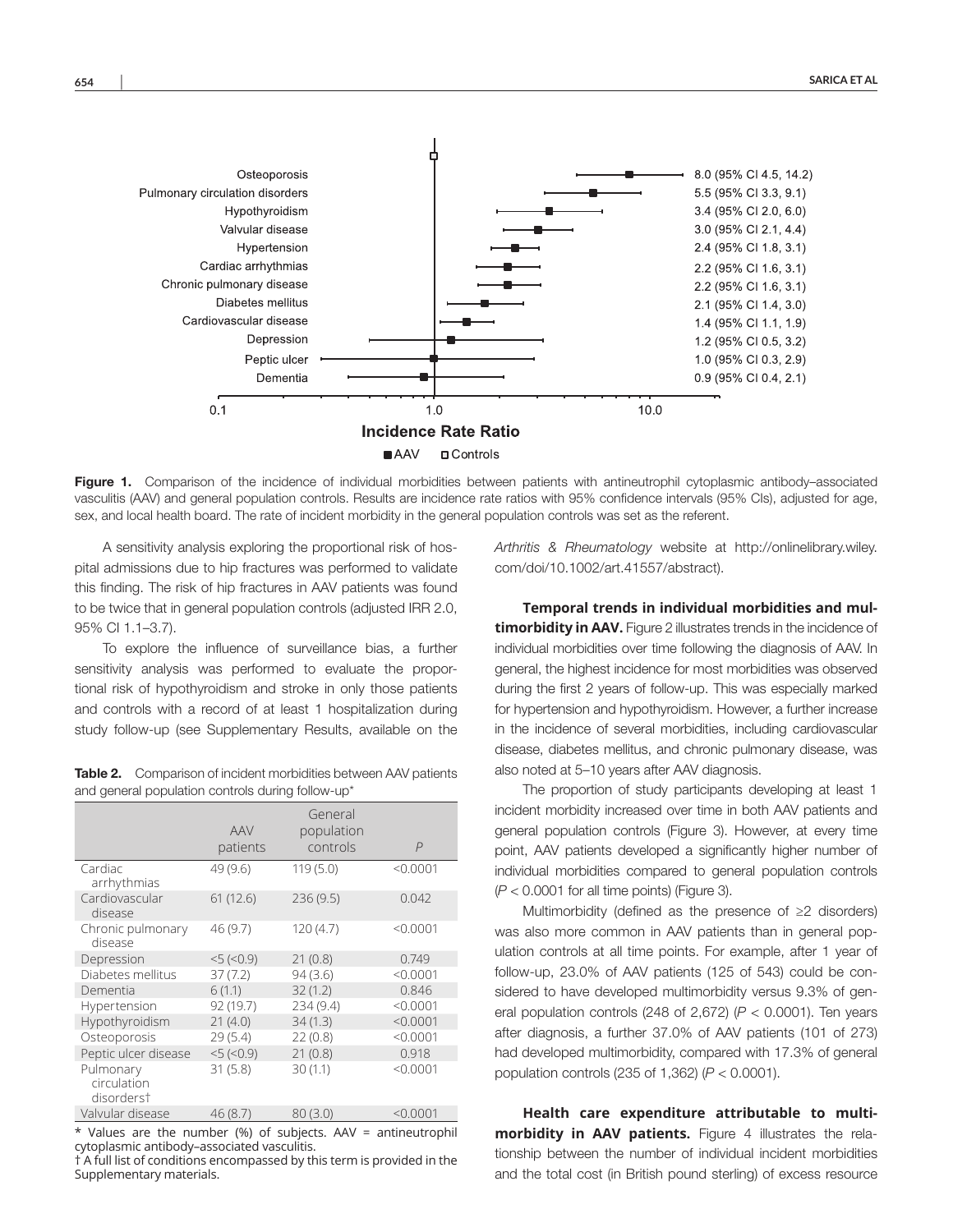

Figure 1. Comparison of the incidence of individual morbidities between patients with antineutrophil cytoplasmic antibody-associated vasculitis (AAV) and general population controls. Results are incidence rate ratios with 95% confidence intervals (95% CIs), adjusted for age, sex, and local health board. The rate of incident morbidity in the general population controls was set as the referent.

A sensitivity analysis exploring the proportional risk of hospital admissions due to hip fractures was performed to validate this finding. The risk of hip fractures in AAV patients was found to be twice that in general population controls (adjusted IRR 2.0, 95% CI 1.1–3.7).

To explore the influence of surveillance bias, a further sensitivity analysis was performed to evaluate the proportional risk of hypothyroidism and stroke in only those patients and controls with a record of at least 1 hospitalization during study follow-up (see Supplementary Results, available on the

Table 2. Comparison of incident morbidities between AAV patients and general population controls during follow-up\*

|                                        | <b>AAV</b><br>patients | General<br>population<br>controls | $\overline{P}$ |
|----------------------------------------|------------------------|-----------------------------------|----------------|
| Cardiac<br>arrhythmias                 | 49 (9.6)               | 119(5.0)                          | < 0.0001       |
| Cardiovascular<br>disease              | 61(12.6)               | 236(9.5)                          | 0.042          |
| Chronic pulmonary<br>disease           | 46 (9.7)               | 120 (4.7)                         | < 0.0001       |
| Depression                             | $5 (-0.9)$             | 21(0.8)                           | 0.749          |
| Diabetes mellitus                      | 37(7.2)                | 94(3.6)                           | < 0.0001       |
| Dementia                               | 6(1.1)                 | 32(1.2)                           | 0.846          |
| Hypertension                           | 92 (19.7)              | 234 (9.4)                         | < 0.0001       |
| Hypothyroidism                         | 21(4.0)                | 34(1.3)                           | < 0.0001       |
| Osteoporosis                           | 29(5.4)                | 22(0.8)                           | < 0.0001       |
| Peptic ulcer disease                   | $5 (-0.9)$             | 21(0.8)                           | 0.918          |
| Pulmonary<br>circulation<br>disorderst | 31(5.8)                | 30(1.1)                           | < 0.0001       |
| Valvular disease                       | 46 (8.7)               | 80(3.0)                           | < 0.0001       |

\* Values are the number (%) of subjects. AAV = antineutrophil cytoplasmic antibody–associated vasculitis.

† A full list of conditions encompassed by this term is provided in the Supplementary materials.

*Arthritis & Rheumatology* website at [http://onlinelibrary.wiley.](http://onlinelibrary.wiley.com/doi/10.1002/art.41557/abstract) [com/doi/10.1002/art.41557/abstract\)](http://onlinelibrary.wiley.com/doi/10.1002/art.41557/abstract).

**Temporal trends in individual morbidities and multimorbidity in AAV.** Figure 2 illustrates trends in the incidence of individual morbidities over time following the diagnosis of AAV. In general, the highest incidence for most morbidities was observed during the first 2 years of follow-up. This was especially marked for hypertension and hypothyroidism. However, a further increase in the incidence of several morbidities, including cardiovascular disease, diabetes mellitus, and chronic pulmonary disease, was also noted at 5–10 years after AAV diagnosis.

The proportion of study participants developing at least 1 incident morbidity increased over time in both AAV patients and general population controls (Figure 3). However, at every time point, AAV patients developed a significantly higher number of individual morbidities compared to general population controls (*P* < 0.0001 for all time points) (Figure 3).

Multimorbidity (defined as the presence of ≥2 disorders) was also more common in AAV patients than in general population controls at all time points. For example, after 1 year of follow-up, 23.0% of AAV patients (125 of 543) could be considered to have developed multimorbidity versus 9.3% of general population controls (248 of 2,672) (*P* < 0.0001). Ten years after diagnosis, a further 37.0% of AAV patients (101 of 273) had developed multimorbidity, compared with 17.3% of general population controls (235 of 1,362) (*P* < 0.0001).

**Health care expenditure attributable to multimorbidity in AAV patients.** Figure 4 illustrates the relationship between the number of individual incident morbidities and the total cost (in British pound sterling) of excess resource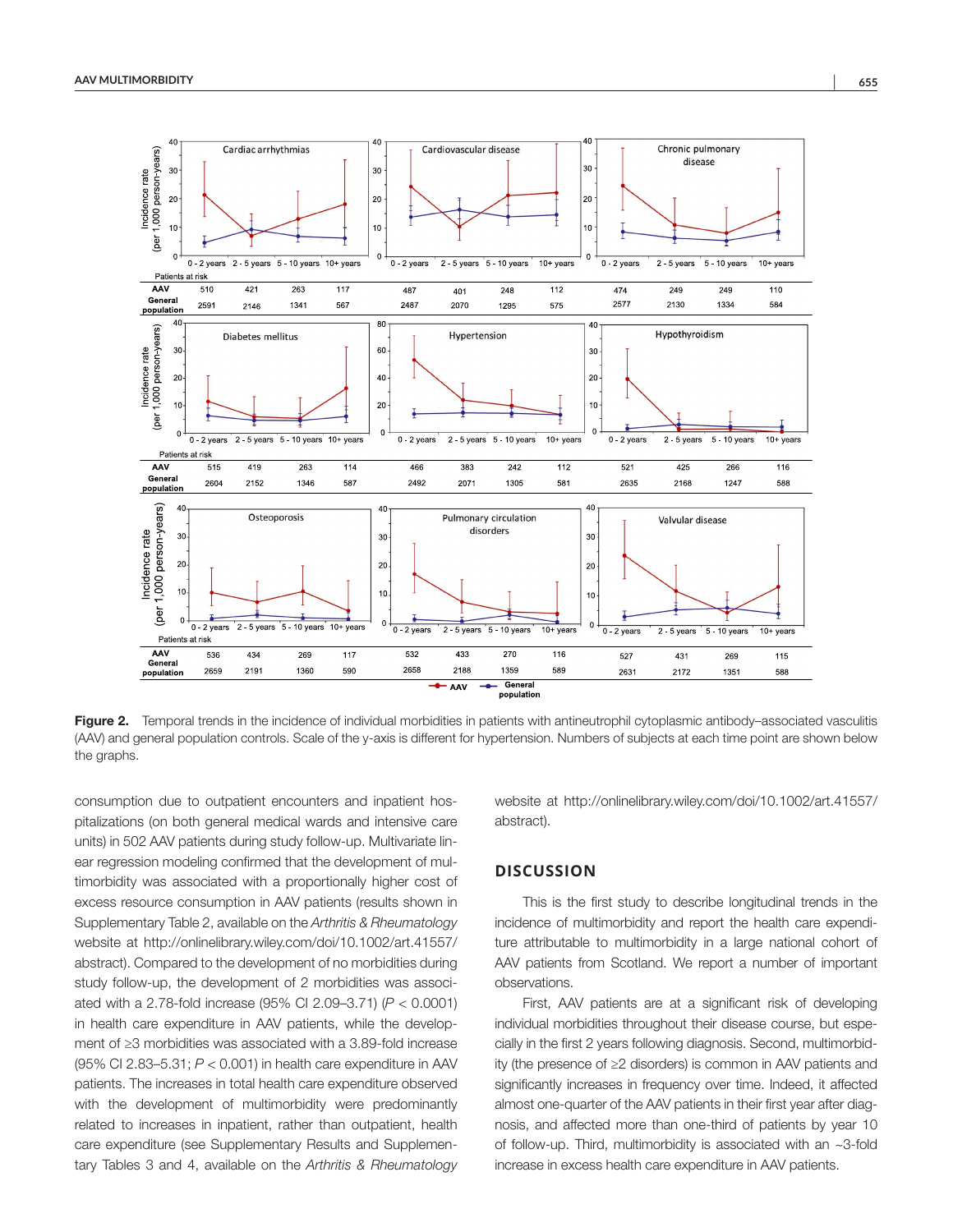

Figure 2. Temporal trends in the incidence of individual morbidities in patients with antineutrophil cytoplasmic antibody–associated vasculitis (AAV) and general population controls. Scale of the y-axis is different for hypertension. Numbers of subjects at each time point are shown below the graphs.

consumption due to outpatient encounters and inpatient hospitalizations (on both general medical wards and intensive care units) in 502 AAV patients during study follow-up. Multivariate linear regression modeling confirmed that the development of multimorbidity was associated with a proportionally higher cost of excess resource consumption in AAV patients (results shown in Supplementary Table 2, available on the *Arthritis & Rheumatology* website at [http://onlinelibrary.wiley.com/doi/10.1002/art.41557/](http://onlinelibrary.wiley.com/doi/10.1002/art.41557/abstract) [abstract](http://onlinelibrary.wiley.com/doi/10.1002/art.41557/abstract)). Compared to the development of no morbidities during study follow-up, the development of 2 morbidities was associated with a 2.78-fold increase (95% CI 2.09–3.71) (*P* < 0.0001) in health care expenditure in AAV patients, while the development of ≥3 morbidities was associated with a 3.89-fold increase (95% CI 2.83–5.31; *P* < 0.001) in health care expenditure in AAV patients. The increases in total health care expenditure observed with the development of multimorbidity were predominantly related to increases in inpatient, rather than outpatient, health care expenditure (see Supplementary Results and Supplementary Tables 3 and 4, available on the *Arthritis & Rheumatology*

website at [http://onlinelibrary.wiley.com/doi/10.1002/art.41557/](http://onlinelibrary.wiley.com/doi/10.1002/art.41557/abstract) [abstract](http://onlinelibrary.wiley.com/doi/10.1002/art.41557/abstract)).

## **DISCUSSION**

This is the first study to describe longitudinal trends in the incidence of multimorbidity and report the health care expenditure attributable to multimorbidity in a large national cohort of AAV patients from Scotland. We report a number of important observations.

First, AAV patients are at a significant risk of developing individual morbidities throughout their disease course, but especially in the first 2 years following diagnosis. Second, multimorbidity (the presence of ≥2 disorders) is common in AAV patients and significantly increases in frequency over time. Indeed, it affected almost one-quarter of the AAV patients in their first year after diagnosis, and affected more than one-third of patients by year 10 of follow-up. Third, multimorbidity is associated with an ~3-fold increase in excess health care expenditure in AAV patients.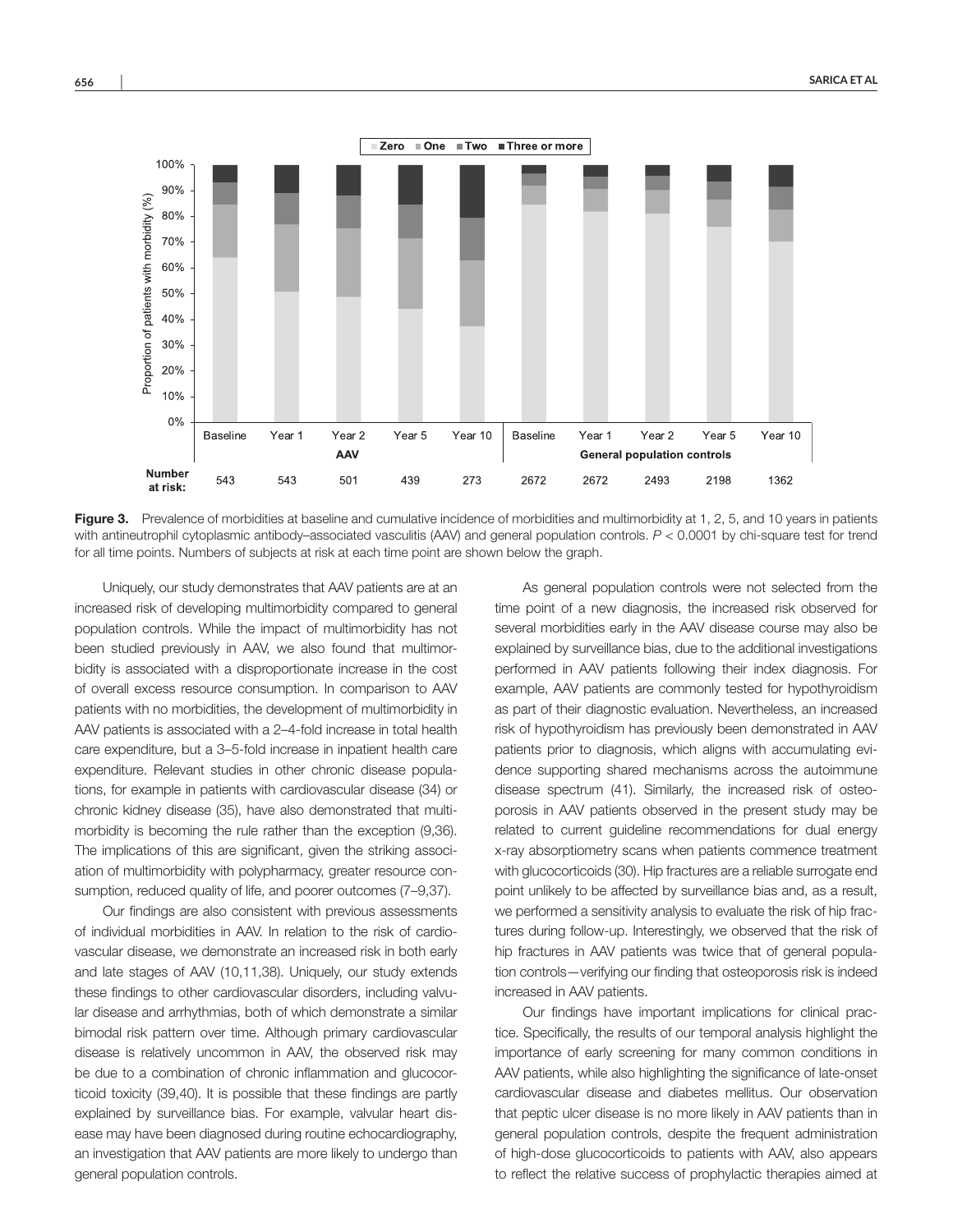

Figure 3. Prevalence of morbidities at baseline and cumulative incidence of morbidities and multimorbidity at 1, 2, 5, and 10 years in patients with antineutrophil cytoplasmic antibody–associated vasculitis (AAV) and general population controls. *P* < 0.0001 by chi-square test for trend for all time points. Numbers of subjects at risk at each time point are shown below the graph.

Uniquely, our study demonstrates that AAV patients are at an increased risk of developing multimorbidity compared to general population controls. While the impact of multimorbidity has not been studied previously in AAV, we also found that multimorbidity is associated with a disproportionate increase in the cost of overall excess resource consumption. In comparison to AAV patients with no morbidities, the development of multimorbidity in AAV patients is associated with a 2–4-fold increase in total health care expenditure, but a 3–5-fold increase in inpatient health care expenditure. Relevant studies in other chronic disease populations, for example in patients with cardiovascular disease (34) or chronic kidney disease (35), have also demonstrated that multimorbidity is becoming the rule rather than the exception (9,36). The implications of this are significant, given the striking association of multimorbidity with polypharmacy, greater resource consumption, reduced quality of life, and poorer outcomes (7–9,37).

Our findings are also consistent with previous assessments of individual morbidities in AAV. In relation to the risk of cardiovascular disease, we demonstrate an increased risk in both early and late stages of AAV (10,11,38). Uniquely, our study extends these findings to other cardiovascular disorders, including valvular disease and arrhythmias, both of which demonstrate a similar bimodal risk pattern over time. Although primary cardiovascular disease is relatively uncommon in AAV, the observed risk may be due to a combination of chronic inflammation and glucocorticoid toxicity (39,40). It is possible that these findings are partly explained by surveillance bias. For example, valvular heart disease may have been diagnosed during routine echocardiography, an investigation that AAV patients are more likely to undergo than general population controls.

As general population controls were not selected from the time point of a new diagnosis, the increased risk observed for several morbidities early in the AAV disease course may also be explained by surveillance bias, due to the additional investigations performed in AAV patients following their index diagnosis. For example, AAV patients are commonly tested for hypothyroidism as part of their diagnostic evaluation. Nevertheless, an increased risk of hypothyroidism has previously been demonstrated in AAV patients prior to diagnosis, which aligns with accumulating evidence supporting shared mechanisms across the autoimmune disease spectrum (41). Similarly, the increased risk of osteoporosis in AAV patients observed in the present study may be related to current guideline recommendations for dual energy x-ray absorptiometry scans when patients commence treatment with glucocorticoids (30). Hip fractures are a reliable surrogate end point unlikely to be affected by surveillance bias and, as a result, we performed a sensitivity analysis to evaluate the risk of hip fractures during follow-up. Interestingly, we observed that the risk of hip fractures in AAV patients was twice that of general population controls—verifying our finding that osteoporosis risk is indeed increased in AAV patients.

Our findings have important implications for clinical practice. Specifically, the results of our temporal analysis highlight the importance of early screening for many common conditions in AAV patients, while also highlighting the significance of late-onset cardiovascular disease and diabetes mellitus. Our observation that peptic ulcer disease is no more likely in AAV patients than in general population controls, despite the frequent administration of high-dose glucocorticoids to patients with AAV, also appears to reflect the relative success of prophylactic therapies aimed at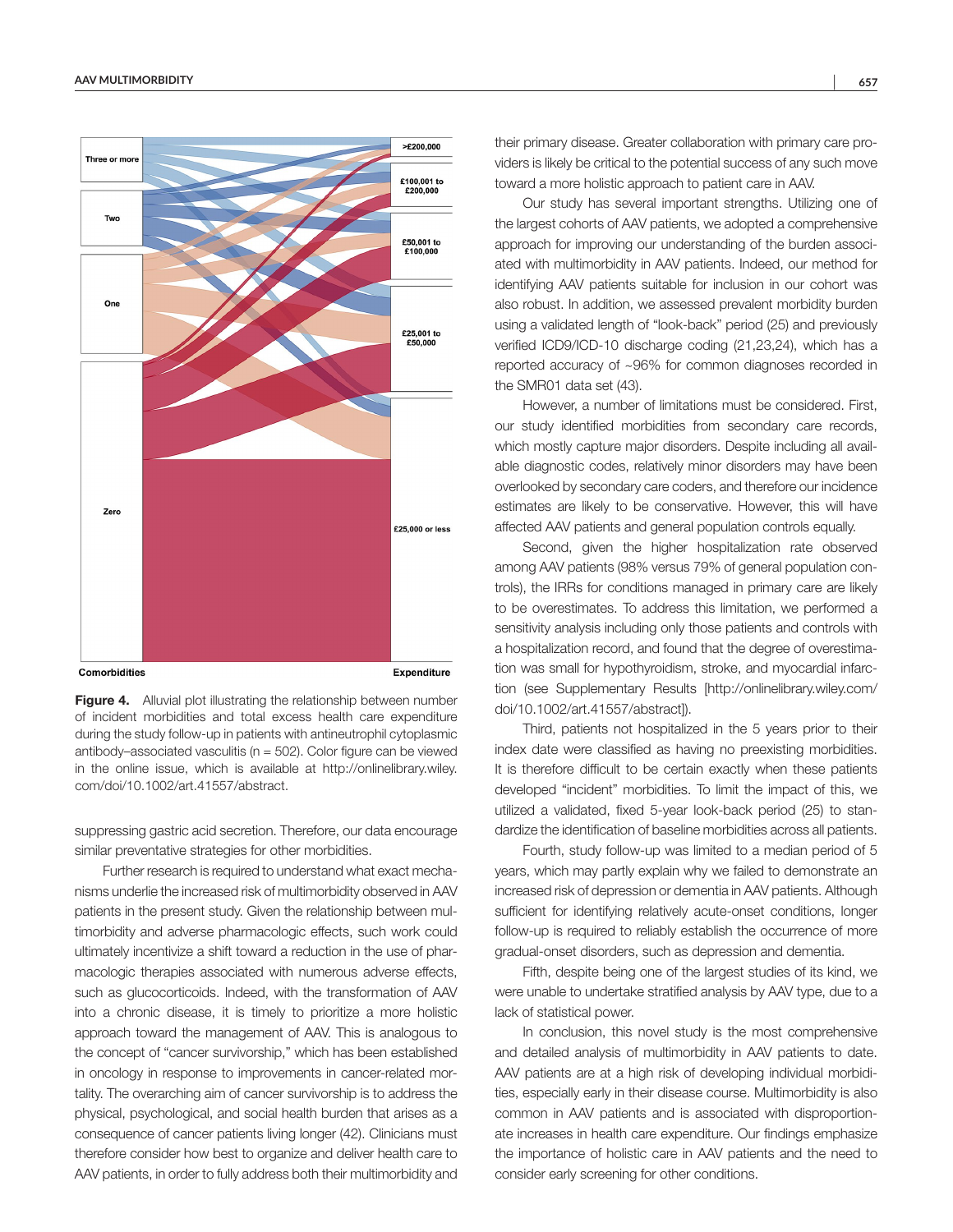

Figure 4. Alluvial plot illustrating the relationship between number of incident morbidities and total excess health care expenditure during the study follow-up in patients with antineutrophil cytoplasmic antibody–associated vasculitis ( $n = 502$ ). Color figure can be viewed in the online issue, which is available at [http://onlinelibrary.wiley.](http://onlinelibrary.wiley.com/doi/10.1002/art.41557/abstract) [com/doi/10.1002/art.41557/abstract](http://onlinelibrary.wiley.com/doi/10.1002/art.41557/abstract).

suppressing gastric acid secretion. Therefore, our data encourage similar preventative strategies for other morbidities.

Further research is required to understand what exact mechanisms underlie the increased risk of multimorbidity observed in AAV patients in the present study. Given the relationship between multimorbidity and adverse pharmacologic effects, such work could ultimately incentivize a shift toward a reduction in the use of pharmacologic therapies associated with numerous adverse effects, such as glucocorticoids. Indeed, with the transformation of AAV into a chronic disease, it is timely to prioritize a more holistic approach toward the management of AAV. This is analogous to the concept of "cancer survivorship," which has been established in oncology in response to improvements in cancer-related mortality. The overarching aim of cancer survivorship is to address the physical, psychological, and social health burden that arises as a consequence of cancer patients living longer (42). Clinicians must therefore consider how best to organize and deliver health care to AAV patients, in order to fully address both their multimorbidity and their primary disease. Greater collaboration with primary care providers is likely be critical to the potential success of any such move toward a more holistic approach to patient care in AAV.

Our study has several important strengths. Utilizing one of the largest cohorts of AAV patients, we adopted a comprehensive approach for improving our understanding of the burden associated with multimorbidity in AAV patients. Indeed, our method for identifying AAV patients suitable for inclusion in our cohort was also robust. In addition, we assessed prevalent morbidity burden using a validated length of "look-back" period (25) and previously verified ICD9/ICD-10 discharge coding (21,23,24), which has a reported accuracy of ~96% for common diagnoses recorded in the SMR01 data set (43).

However, a number of limitations must be considered. First, our study identified morbidities from secondary care records, which mostly capture major disorders. Despite including all available diagnostic codes, relatively minor disorders may have been overlooked by secondary care coders, and therefore our incidence estimates are likely to be conservative. However, this will have affected AAV patients and general population controls equally.

Second, given the higher hospitalization rate observed among AAV patients (98% versus 79% of general population controls), the IRRs for conditions managed in primary care are likely to be overestimates. To address this limitation, we performed a sensitivity analysis including only those patients and controls with a hospitalization record, and found that the degree of overestimation was small for hypothyroidism, stroke, and myocardial infarction (see Supplementary Results [[http://onlinelibrary.wiley.com/](http://onlinelibrary.wiley.com/doi/10.1002/art.41557/abstract) [doi/10.1002/art.41557/abstract](http://onlinelibrary.wiley.com/doi/10.1002/art.41557/abstract)]).

Third, patients not hospitalized in the 5 years prior to their index date were classified as having no preexisting morbidities. It is therefore difficult to be certain exactly when these patients developed "incident" morbidities. To limit the impact of this, we utilized a validated, fixed 5-year look-back period (25) to standardize the identification of baseline morbidities across all patients.

Fourth, study follow-up was limited to a median period of 5 years, which may partly explain why we failed to demonstrate an increased risk of depression or dementia in AAV patients. Although sufficient for identifying relatively acute-onset conditions, longer follow-up is required to reliably establish the occurrence of more gradual-onset disorders, such as depression and dementia.

Fifth, despite being one of the largest studies of its kind, we were unable to undertake stratified analysis by AAV type, due to a lack of statistical power.

In conclusion, this novel study is the most comprehensive and detailed analysis of multimorbidity in AAV patients to date. AAV patients are at a high risk of developing individual morbidities, especially early in their disease course. Multimorbidity is also common in AAV patients and is associated with disproportionate increases in health care expenditure. Our findings emphasize the importance of holistic care in AAV patients and the need to consider early screening for other conditions.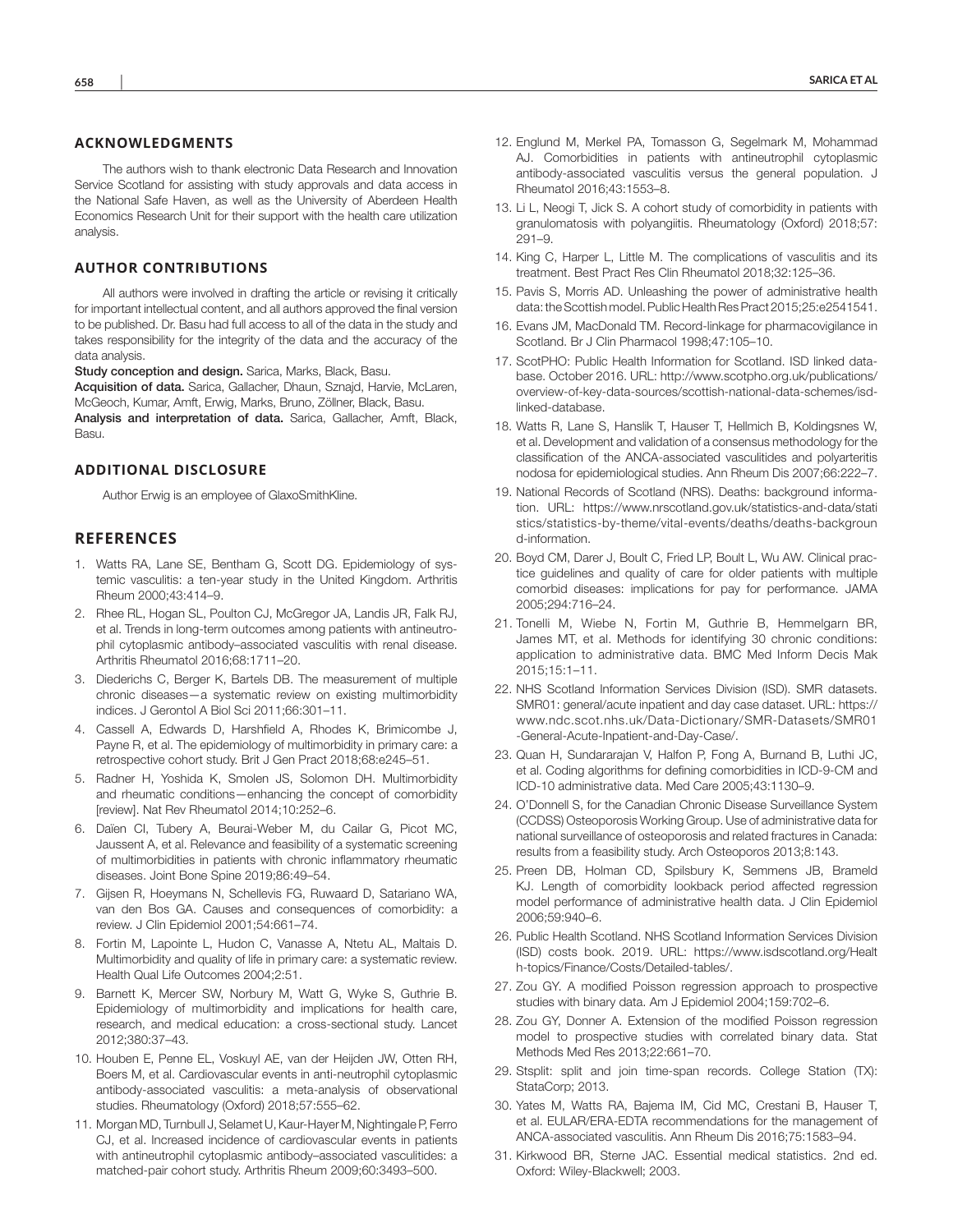#### **ACKNOWLEDGMENTS**

The authors wish to thank electronic Data Research and Innovation Service Scotland for assisting with study approvals and data access in the National Safe Haven, as well as the University of Aberdeen Health Economics Research Unit for their support with the health care utilization analysis.

#### **AUTHOR CONTRIBUTIONS**

All authors were involved in drafting the article or revising it critically for important intellectual content, and all authors approved the final version to be published. Dr. Basu had full access to all of the data in the study and takes responsibility for the integrity of the data and the accuracy of the data analysis.

Study conception and design. Sarica, Marks, Black, Basu.

Acquisition of data. Sarica, Gallacher, Dhaun, Sznajd, Harvie, McLaren, McGeoch, Kumar, Amft, Erwig, Marks, Bruno, Zöllner, Black, Basu. Analysis and interpretation of data. Sarica, Gallacher, Amft, Black, Basu.

#### **ADDITIONAL DISCLOSURE**

Author Erwig is an employee of GlaxoSmithKline.

# **REFERENCES**

- 1. Watts RA, Lane SE, Bentham G, Scott DG. Epidemiology of systemic vasculitis: a ten-year study in the United Kingdom. Arthritis Rheum 2000;43:414–9.
- 2. Rhee RL, Hogan SL, Poulton CJ, McGregor JA, Landis JR, Falk RJ, et al. Trends in long-term outcomes among patients with antineutrophil cytoplasmic antibody–associated vasculitis with renal disease. Arthritis Rheumatol 2016;68:1711–20.
- 3. Diederichs C, Berger K, Bartels DB. The measurement of multiple chronic diseases—a systematic review on existing multimorbidity indices. J Gerontol A Biol Sci 2011;66:301–11.
- 4. Cassell A, Edwards D, Harshfield A, Rhodes K, Brimicombe J, Payne R, et al. The epidemiology of multimorbidity in primary care: a retrospective cohort study. Brit J Gen Pract 2018;68:e245–51.
- 5. Radner H, Yoshida K, Smolen JS, Solomon DH. Multimorbidity and rheumatic conditions—enhancing the concept of comorbidity [review]. Nat Rev Rheumatol 2014;10:252–6.
- 6. Daïen CI, Tubery A, Beurai-Weber M, du Cailar G, Picot MC, Jaussent A, et al. Relevance and feasibility of a systematic screening of multimorbidities in patients with chronic inflammatory rheumatic diseases. Joint Bone Spine 2019;86:49–54.
- 7. Gijsen R, Hoeymans N, Schellevis FG, Ruwaard D, Satariano WA, van den Bos GA. Causes and consequences of comorbidity: a review. J Clin Epidemiol 2001;54:661–74.
- 8. Fortin M, Lapointe L, Hudon C, Vanasse A, Ntetu AL, Maltais D. Multimorbidity and quality of life in primary care: a systematic review. Health Qual Life Outcomes 2004;2:51.
- 9. Barnett K, Mercer SW, Norbury M, Watt G, Wyke S, Guthrie B. Epidemiology of multimorbidity and implications for health care, research, and medical education: a cross-sectional study. Lancet 2012;380:37–43.
- 10. Houben E, Penne EL, Voskuyl AE, van der Heijden JW, Otten RH, Boers M, et al. Cardiovascular events in anti-neutrophil cytoplasmic antibody-associated vasculitis: a meta-analysis of observational studies. Rheumatology (Oxford) 2018;57:555–62.
- 11. Morgan MD, Turnbull J, Selamet U, Kaur-Hayer M, Nightingale P, Ferro CJ, et al. Increased incidence of cardiovascular events in patients with antineutrophil cytoplasmic antibody–associated vasculitides: a matched-pair cohort study. Arthritis Rheum 2009;60:3493–500.
- 12. Englund M, Merkel PA, Tomasson G, Segelmark M, Mohammad AJ. Comorbidities in patients with antineutrophil cytoplasmic antibody-associated vasculitis versus the general population. J Rheumatol 2016;43:1553–8.
- 13. Li L, Neogi T, Jick S. A cohort study of comorbidity in patients with granulomatosis with polyangiitis. Rheumatology (Oxford) 2018;57: 291–9.
- 14. King C, Harper L, Little M. The complications of vasculitis and its treatment. Best Pract Res Clin Rheumatol 2018;32:125–36.
- 15. Pavis S, Morris AD. Unleashing the power of administrative health data: the Scottish model. Public Health Res Pract 2015;25:e2541541.
- 16. Evans JM, MacDonald TM. Record-linkage for pharmacovigilance in Scotland. Br J Clin Pharmacol 1998;47:105–10.
- 17. ScotPHO: Public Health Information for Scotland. ISD linked database. October 2016. URL: [http://www.scotpho.org.uk/publications/](http://www.scotpho.org.uk/publications/overview-of-ke) [overview-of-ke](http://www.scotpho.org.uk/publications/overview-of-ke)[y-data-sources/scottish-national-data-schemes/isd](http://y-data-sources/scottish-national-data-schemes/isd-linked-database)[linked-database.](http://y-data-sources/scottish-national-data-schemes/isd-linked-database)
- 18. Watts R, Lane S, Hanslik T, Hauser T, Hellmich B, Koldingsnes W, et al. Development and validation of a consensus methodology for the classification of the ANCA-associated vasculitides and polyarteritis nodosa for epidemiological studies. Ann Rheum Dis 2007;66:222–7.
- 19. National Records of Scotland (NRS). Deaths: background information. URL: [https://www.nrscotland.gov.uk/statistics-and-data/stati](https://www.nrscotland.gov.uk/statistics-and-data/statistic) [stic](https://www.nrscotland.gov.uk/statistics-and-data/statistic)[s/statistics-by-theme/vital-events/deaths/deaths-back](https://s/statistics-by-theme/vital-events/deaths/deaths-back)[groun](https://ground-infor) [d-infor](https://ground-infor)[mation.](https://mation)
- 20. Boyd CM, Darer J, Boult C, Fried LP, Boult L, Wu AW. Clinical practice guidelines and quality of care for older patients with multiple comorbid diseases: implications for pay for performance. JAMA 2005;294:716–24.
- 21. Tonelli M, Wiebe N, Fortin M, Guthrie B, Hemmelgarn BR, James MT, et al. Methods for identifying 30 chronic conditions: application to administrative data. BMC Med Inform Decis Mak 2015;15:1–11.
- 22. NHS Scotland Information Services Division (ISD). SMR datasets. SMR01: general/acute inpatient and day case dataset. URL: [https://](https://ww) [ww](https://ww)[w.ndc.scot.nhs.uk/Data-Dictionary/SMR-Datasets/SMR01](https://w.ndc.scot.nhs.uk/Data-Dictionary/SMR-Datasets/SMR01-General-Acute-Inpatient-and-Day-Case/) [-General-Acute-Inpatient-and-Day-Case/.](https://w.ndc.scot.nhs.uk/Data-Dictionary/SMR-Datasets/SMR01-General-Acute-Inpatient-and-Day-Case/)
- 23. Quan H, Sundararajan V, Halfon P, Fong A, Burnand B, Luthi JC, et al. Coding algorithms for defining comorbidities in ICD-9-CM and ICD-10 administrative data. Med Care 2005;43:1130–9.
- 24. O'Donnell S, for the Canadian Chronic Disease Surveillance System (CCDSS) Osteoporosis Working Group. Use of administrative data for national surveillance of osteoporosis and related fractures in Canada: results from a feasibility study. Arch Osteoporos 2013;8:143.
- 25. Preen DB, Holman CD, Spilsbury K, Semmens JB, Brameld KJ. Length of comorbidity lookback period affected regression model performance of administrative health data. J Clin Epidemiol 2006;59:940–6.
- 26. Public Health Scotland. NHS Scotland Information Services Division (ISD) costs book. 2019. URL: <https://www.isdscotl>[and.org/Healt](https://and.org/Health-topics/Finance/Costs/Detailed-) [h-topics/Finance/Costs/Detailed-](https://and.org/Health-topics/Finance/Costs/Detailed-)[tables/.](https://tables/)
- 27. Zou GY. A modified Poisson regression approach to prospective studies with binary data. Am J Epidemiol 2004;159:702–6.
- 28. Zou GY, Donner A. Extension of the modified Poisson regression model to prospective studies with correlated binary data. Stat Methods Med Res 2013;22:661–70.
- 29. Stsplit: split and join time-span records. College Station (TX): StataCorp; 2013.
- 30. Yates M, Watts RA, Bajema IM, Cid MC, Crestani B, Hauser T, et al. EULAR/ERA-EDTA recommendations for the management of ANCA-associated vasculitis. Ann Rheum Dis 2016;75:1583–94.
- 31. Kirkwood BR, Sterne JAC. Essential medical statistics. 2nd ed. Oxford: Wiley-Blackwell; 2003.